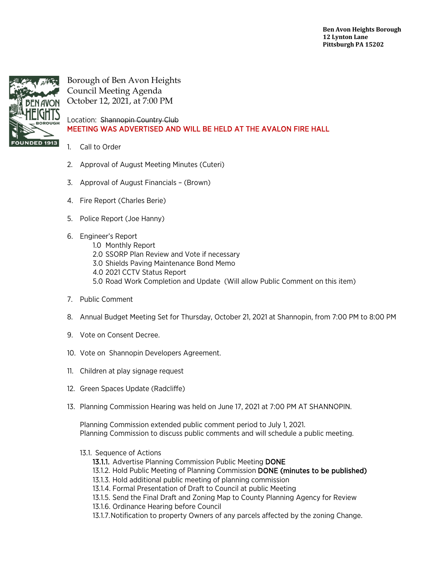

Borough of Ben Avon Heights Council Meeting Agenda October 12, 2021, at 7:00 PM

Location: Shannopin Country Club MEETING WAS ADVERTISED AND WILL BE HELD AT THE AVALON FIRE HALL

## 1. Call to Order

- 2. Approval of August Meeting Minutes (Cuteri)
- 3. Approval of August Financials (Brown)
- 4. Fire Report (Charles Berie)
- 5. Police Report (Joe Hanny)
- 6. Engineer's Report
	- 1.0 Monthly Report
	- 2.0 SSORP Plan Review and Vote if necessary
	- 3.0 Shields Paving Maintenance Bond Memo
	- 4.0 2021 CCTV Status Report
	- 5.0 Road Work Completion and Update (Will allow Public Comment on this item)
- 7. Public Comment
- 8. Annual Budget Meeting Set for Thursday, October 21, 2021 at Shannopin, from 7:00 PM to 8:00 PM
- 9. Vote on Consent Decree.
- 10. Vote on Shannopin Developers Agreement.
- 11. Children at play signage request
- 12. Green Spaces Update (Radcliffe)
- 13. Planning Commission Hearing was held on June 17, 2021 at 7:00 PM AT SHANNOPIN.

Planning Commission extended public comment period to July 1, 2021. Planning Commission to discuss public comments and will schedule a public meeting.

- 13.1. Sequence of Actions
	- 13.1.1. Advertise Planning Commission Public Meeting DONE
	- 13.1.2. Hold Public Meeting of Planning Commission DONE (minutes to be published)
	- 13.1.3. Hold additional public meeting of planning commission
	- 13.1.4. Formal Presentation of Draft to Council at public Meeting
	- 13.1.5. Send the Final Draft and Zoning Map to County Planning Agency for Review
	- 13.1.6. Ordinance Hearing before Council
	- 13.1.7.Notification to property Owners of any parcels affected by the zoning Change.